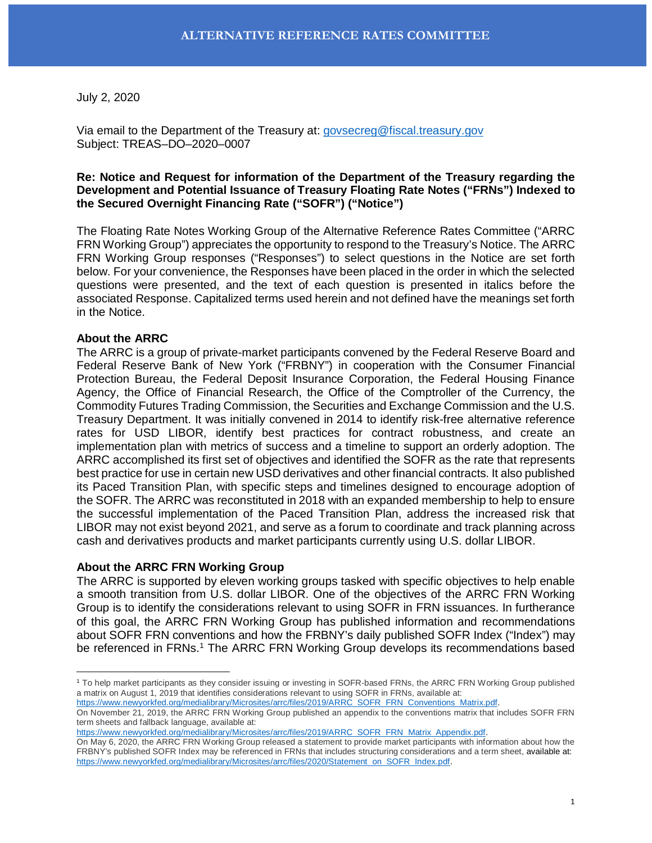July 2, 2020

Via email to the Department of the Treasury at: [govsecreg@fiscal.treasury.gov](mailto:govsecreg@fiscal.treasury.gov) Subject: TREAS–DO–2020–0007

## **Re: Notice and Request for information of the Department of the Treasury regarding the Development and Potential Issuance of Treasury Floating Rate Notes ("FRNs") Indexed to the Secured Overnight Financing Rate ("SOFR") ("Notice")**

The Floating Rate Notes Working Group of the Alternative Reference Rates Committee ("ARRC FRN Working Group") appreciates the opportunity to respond to the Treasury's Notice. The ARRC FRN Working Group responses ("Responses") to select questions in the Notice are set forth below. For your convenience, the Responses have been placed in the order in which the selected questions were presented, and the text of each question is presented in italics before the associated Response. Capitalized terms used herein and not defined have the meanings set forth in the Notice.

## **About the ARRC**

 $\overline{a}$ 

The ARRC is a group of private-market participants convened by the Federal Reserve Board and Federal Reserve Bank of New York ("FRBNY") in cooperation with the Consumer Financial Protection Bureau, the Federal Deposit Insurance Corporation, the Federal Housing Finance Agency, the Office of Financial Research, the Office of the Comptroller of the Currency, the Commodity Futures Trading Commission, the Securities and Exchange Commission and the U.S. Treasury Department. It was initially convened in 2014 to identify risk-free alternative reference rates for USD LIBOR, identify best practices for contract robustness, and create an implementation plan with metrics of success and a timeline to support an orderly adoption. The ARRC accomplished its first set of objectives and identified the SOFR as the rate that represents best practice for use in certain new USD derivatives and other financial contracts. It also published its Paced Transition Plan, with specific steps and timelines designed to encourage adoption of the SOFR. The ARRC was reconstituted in 2018 with an expanded membership to help to ensure the successful implementation of the Paced Transition Plan, address the increased risk that LIBOR may not exist beyond 2021, and serve as a forum to coordinate and track planning across cash and derivatives products and market participants currently using U.S. dollar LIBOR.

## **About the ARRC FRN Working Group**

The ARRC is supported by eleven working groups tasked with specific objectives to help enable a smooth transition from U.S. dollar LIBOR. One of the objectives of the ARRC FRN Working Group is to identify the considerations relevant to using SOFR in FRN issuances. In furtherance of this goal, the ARRC FRN Working Group has published information and recommendations about SOFR FRN conventions and how the FRBNY's daily published SOFR Index ("Index") may be referenced in FRNs.<sup>[1](#page-0-0)</sup> The ARRC FRN Working Group develops its recommendations based

[https://www.newyorkfed.org/medialibrary/Microsites/arrc/files/2019/ARRC\\_SOFR\\_FRN\\_Conventions\\_Matrix.pdf.](https://www.newyorkfed.org/medialibrary/Microsites/arrc/files/2019/ARRC_SOFR_FRN_Conventions_Matrix.pdf)

<span id="page-0-0"></span><sup>1</sup> To help market participants as they consider issuing or investing in SOFR-based FRNs, the ARRC FRN Working Group published a matrix on August 1, 2019 that identifies considerations relevant to using SOFR in FRNs, available at:

On November 21, 2019, the ARRC FRN Working Group published an appendix to the conventions matrix that includes SOFR FRN term sheets and fallback language, available at:

[https://www.newyorkfed.org/medialibrary/Microsites/arrc/files/2019/ARRC\\_SOFR\\_FRN\\_Matrix\\_Appendix.pdf.](https://www.newyorkfed.org/medialibrary/Microsites/arrc/files/2019/ARRC_SOFR_FRN_Matrix_Appendix.pdf)

On May 6, 2020, the ARRC FRN Working Group released a [statement](https://www.newyorkfed.org/medialibrary/Microsites/arrc/files/2020/Statement_on_SOFR_Index.pdf) to provide market participants with information about how the [FRBNY's published SOFR Index](https://www.newyorkfed.org/medialibrary/Microsites/arrc/files/2020/ARRC_Press_Release_on_Avgs_Index.pdf) may be referenced in FRNs that includes structuring considerations and a term sheet, available at: [https://www.newyorkfed.org/medialibrary/Microsites/arrc/files/2020/Statement\\_on\\_SOFR\\_Index.pdf.](https://www.newyorkfed.org/medialibrary/Microsites/arrc/files/2020/Statement_on_SOFR_Index.pdf)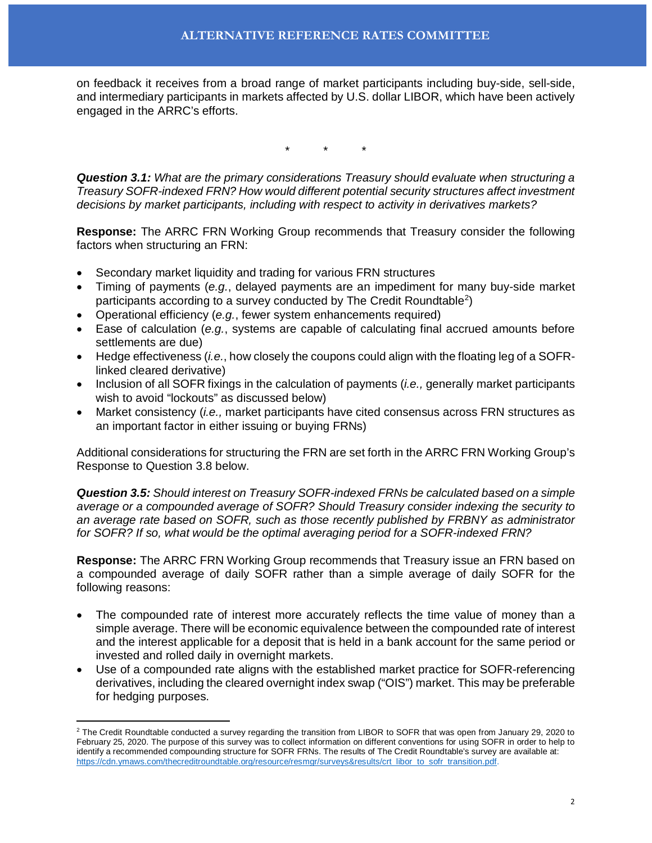on feedback it receives from a broad range of market participants including buy-side, sell-side, and intermediary participants in markets affected by U.S. dollar LIBOR, which have been actively engaged in the ARRC's efforts.

\* \* \*

*Question 3.1: What are the primary considerations Treasury should evaluate when structuring a Treasury SOFR-indexed FRN? How would different potential security structures affect investment decisions by market participants, including with respect to activity in derivatives markets?*

**Response:** The ARRC FRN Working Group recommends that Treasury consider the following factors when structuring an FRN:

- Secondary market liquidity and trading for various FRN structures
- Timing of payments (*e.g.*, delayed payments are an impediment for many buy-side market participants according to a survey conducted by The Credit Roundtable<sup>[2](#page-1-0)</sup>)
- Operational efficiency (*e.g.*, fewer system enhancements required)
- Ease of calculation (*e.g.*, systems are capable of calculating final accrued amounts before settlements are due)
- Hedge effectiveness (*i.e.*, how closely the coupons could align with the floating leg of a SOFRlinked cleared derivative)
- Inclusion of all SOFR fixings in the calculation of payments (*i.e.,* generally market participants wish to avoid "lockouts" as discussed below)
- Market consistency (*i.e.,* market participants have cited consensus across FRN structures as an important factor in either issuing or buying FRNs)

Additional considerations for structuring the FRN are set forth in the ARRC FRN Working Group's Response to Question 3.8 below.

*Question 3.5: Should interest on Treasury SOFR-indexed FRNs be calculated based on a simple average or a compounded average of SOFR? Should Treasury consider indexing the security to an average rate based on SOFR, such as those recently published by FRBNY as administrator for SOFR? If so, what would be the optimal averaging period for a SOFR-indexed FRN?*

**Response:** The ARRC FRN Working Group recommends that Treasury issue an FRN based on a compounded average of daily SOFR rather than a simple average of daily SOFR for the following reasons:

- The compounded rate of interest more accurately reflects the time value of money than a simple average. There will be economic equivalence between the compounded rate of interest and the interest applicable for a deposit that is held in a bank account for the same period or invested and rolled daily in overnight markets.
- Use of a compounded rate aligns with the established market practice for SOFR-referencing derivatives, including the cleared overnight index swap ("OIS") market. This may be preferable for hedging purposes.

 $\overline{a}$ 

<span id="page-1-0"></span> $^2$  The Credit Roundtable conducted a survey regarding the transition from LIBOR to SOFR that was open from January 29, 2020 to February 25, 2020. The purpose of this survey was to collect information on different conventions for using SOFR in order to help to identify a recommended compounding structure for SOFR FRNs. The results of The Credit Roundtable's survey are available at: [https://cdn.ymaws.com/thecreditroundtable.org/resource/resmgr/surveys&results/crt\\_libor\\_to\\_sofr\\_transition.pdf.](https://cdn.ymaws.com/thecreditroundtable.org/resource/resmgr/surveys&results/crt_libor_to_sofr_transition.pdf)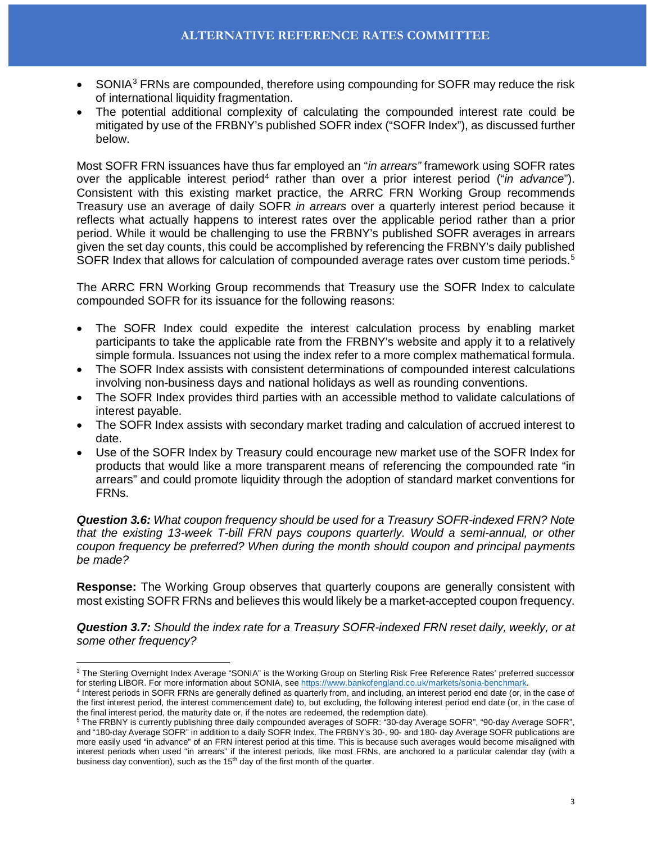- SONIA<sup>[3](#page-2-0)</sup> FRNs are compounded, therefore using compounding for SOFR may reduce the risk of international liquidity fragmentation.
- The potential additional complexity of calculating the compounded interest rate could be mitigated by use of the FRBNY's published SOFR index ("SOFR Index"), as discussed further below.

Most SOFR FRN issuances have thus far employed an "*in arrears"* framework using SOFR rates over the applicable interest period<sup>[4](#page-2-1)</sup> rather than over a prior interest period ("*in advance*"). Consistent with this existing market practice, the ARRC FRN Working Group recommends Treasury use an average of daily SOFR *in arrears* over a quarterly interest period because it reflects what actually happens to interest rates over the applicable period rather than a prior period. While it would be challenging to use the FRBNY's published SOFR averages in arrears given the set day counts, this could be accomplished by referencing the FRBNY's daily published SOFR Index that allows for calculation of compounded average rates over custom time periods.<sup>[5](#page-2-2)</sup>

The ARRC FRN Working Group recommends that Treasury use the SOFR Index to calculate compounded SOFR for its issuance for the following reasons:

- The SOFR Index could expedite the interest calculation process by enabling market participants to take the applicable rate from the FRBNY's website and apply it to a relatively simple formula. Issuances not using the index refer to a more complex mathematical formula.
- The SOFR Index assists with consistent determinations of compounded interest calculations involving non-business days and national holidays as well as rounding conventions.
- The SOFR Index provides third parties with an accessible method to validate calculations of interest payable.
- The SOFR Index assists with secondary market trading and calculation of accrued interest to date.
- Use of the SOFR Index by Treasury could encourage new market use of the SOFR Index for products that would like a more transparent means of referencing the compounded rate "in arrears" and could promote liquidity through the adoption of standard market conventions for FRNs.

*Question 3.6: What coupon frequency should be used for a Treasury SOFR-indexed FRN? Note that the existing 13-week T-bill FRN pays coupons quarterly. Would a semi-annual, or other coupon frequency be preferred? When during the month should coupon and principal payments be made?*

**Response:** The Working Group observes that quarterly coupons are generally consistent with most existing SOFR FRNs and believes this would likely be a market-accepted coupon frequency.

*Question 3.7: Should the index rate for a Treasury SOFR-indexed FRN reset daily, weekly, or at some other frequency?*

 $\overline{a}$ 

<span id="page-2-0"></span> $^3$  The Sterling Overnight Index Average "SONIA" is the Working Group on Sterling Risk Free Reference Rates' preferred successor for sterling LIBOR. For more information about SONIA, see [https://www.bankofengland.co.uk/markets/sonia-benchmark.](https://www.bankofengland.co.uk/markets/sonia-benchmark)

<span id="page-2-1"></span><sup>4</sup> Interest periods in SOFR FRNs are generally defined as quarterly from, and including, an interest period end date (or, in the case of the first interest period, the interest commencement date) to, but excluding, the following interest period end date (or, in the case of the final interest period, the maturity date or, if the notes are redeemed, the redemption date).

<span id="page-2-2"></span><sup>5</sup> The FRBNY is currently publishing three daily compounded averages of SOFR: "30-day Average SOFR", "90-day Average SOFR", and "180-day Average SOFR" in addition to a daily SOFR Index. The FRBNY's 30-, 90- and 180- day Average SOFR publications are more easily used "in advance" of an FRN interest period at this time. This is because such averages would become misaligned with interest periods when used "in arrears" if the interest periods, like most FRNs, are anchored to a particular calendar day (with a business day convention), such as the 15<sup>th</sup> day of the first month of the quarter.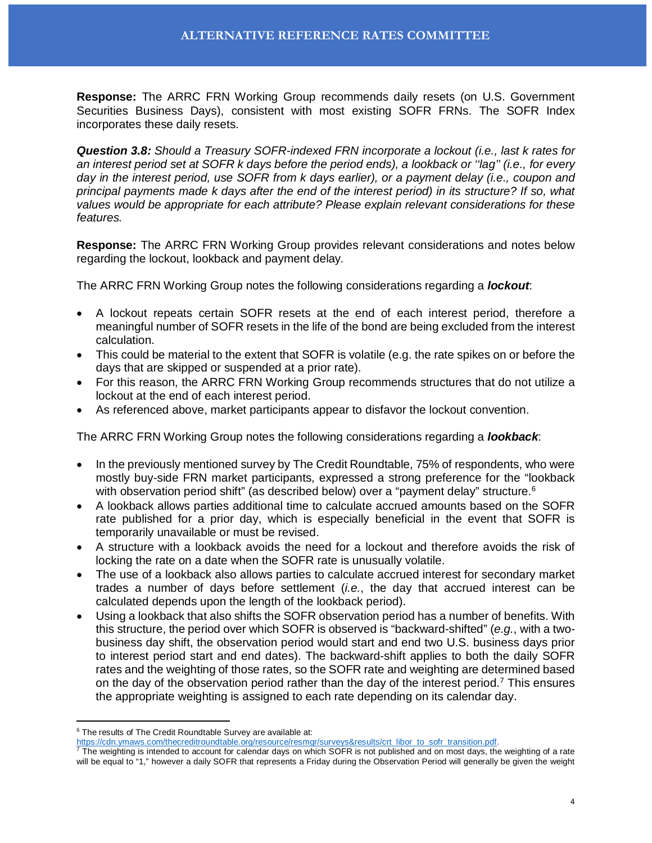**Response:** The ARRC FRN Working Group recommends daily resets (on U.S. Government Securities Business Days), consistent with most existing SOFR FRNs. The SOFR Index incorporates these daily resets.

*Question 3.8: Should a Treasury SOFR-indexed FRN incorporate a lockout (i.e., last k rates for an interest period set at SOFR k days before the period ends), a lookback or ''lag'' (i.e., for every day in the interest period, use SOFR from k days earlier), or a payment delay (i.e., coupon and principal payments made k days after the end of the interest period) in its structure? If so, what values would be appropriate for each attribute? Please explain relevant considerations for these features.*

**Response:** The ARRC FRN Working Group provides relevant considerations and notes below regarding the lockout, lookback and payment delay*.*

The ARRC FRN Working Group notes the following considerations regarding a *lockout*:

- A lockout repeats certain SOFR resets at the end of each interest period, therefore a meaningful number of SOFR resets in the life of the bond are being excluded from the interest calculation.
- This could be material to the extent that SOFR is volatile (e.g. the rate spikes on or before the days that are skipped or suspended at a prior rate).
- For this reason, the ARRC FRN Working Group recommends structures that do not utilize a lockout at the end of each interest period.
- As referenced above, market participants appear to disfavor the lockout convention.

The ARRC FRN Working Group notes the following considerations regarding a *lookback*:

- In the previously mentioned survey by The Credit Roundtable, 75% of respondents, who were mostly buy-side FRN market participants, expressed a strong preference for the "lookback with observation period shift" (as described below) over a "payment delay" structure. $6$
- A lookback allows parties additional time to calculate accrued amounts based on the SOFR rate published for a prior day, which is especially beneficial in the event that SOFR is temporarily unavailable or must be revised.
- A structure with a lookback avoids the need for a lockout and therefore avoids the risk of locking the rate on a date when the SOFR rate is unusually volatile.
- The use of a lookback also allows parties to calculate accrued interest for secondary market trades a number of days before settlement (*i.e.*, the day that accrued interest can be calculated depends upon the length of the lookback period).
- Using a lookback that also shifts the SOFR observation period has a number of benefits. With this structure, the period over which SOFR is observed is "backward-shifted" (*e.g.*, with a twobusiness day shift, the observation period would start and end two U.S. business days prior to interest period start and end dates). The backward-shift applies to both the daily SOFR rates and the weighting of those rates, so the SOFR rate and weighting are determined based on the day of the observation period rather than the day of the interest period.<sup>[7](#page-3-1)</sup> This ensures the appropriate weighting is assigned to each rate depending on its calendar day.

 $\overline{a}$ 

<span id="page-3-0"></span> $6$  The results of The Credit Roundtable Survey are available at:

[https://cdn.ymaws.com/thecreditroundtable.org/resource/resmgr/surveys&results/crt\\_libor\\_to\\_sofr\\_transition.pdf.](https://cdn.ymaws.com/thecreditroundtable.org/resource/resmgr/surveys&results/crt_libor_to_sofr_transition.pdf)

<span id="page-3-1"></span> $^7$  The weighting is intended to account for calendar days on which SOFR is not published and on most days, the weighting of a rate will be equal to "1," however a daily SOFR that represents a Friday during the Observation Period will generally be given the weight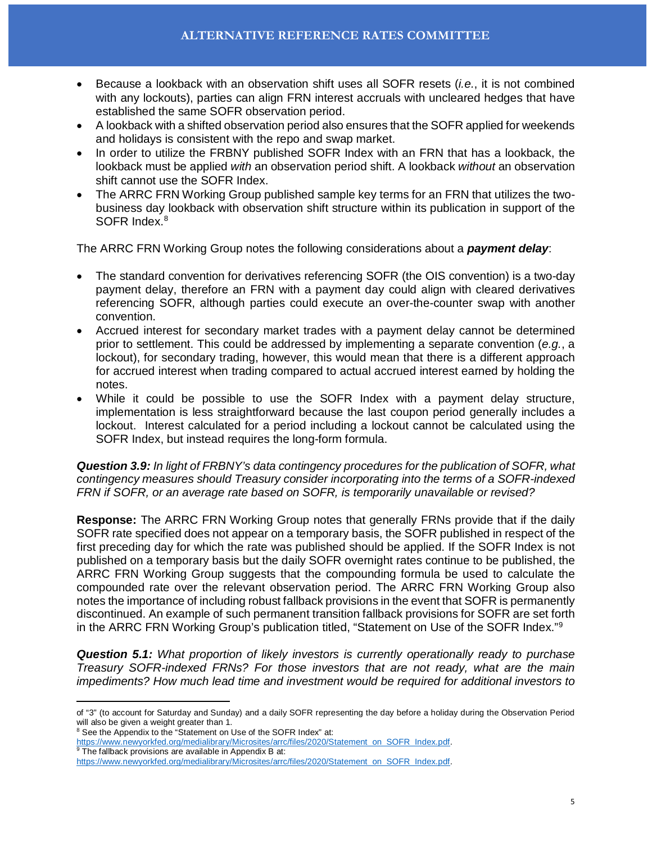- Because a lookback with an observation shift uses all SOFR resets (*i.e.*, it is not combined with any lockouts), parties can align FRN interest accruals with uncleared hedges that have established the same SOFR observation period.
- A lookback with a shifted observation period also ensures that the SOFR applied for weekends and holidays is consistent with the repo and swap market.
- In order to utilize the FRBNY published SOFR Index with an FRN that has a lookback, the lookback must be applied *with* an observation period shift. A lookback *without* an observation shift cannot use the SOFR Index.
- The ARRC FRN Working Group published sample key terms for an FRN that utilizes the twobusiness day lookback with observation shift structure within its publication in support of the SOFR Index.<sup>[8](#page-4-0)</sup>

The ARRC FRN Working Group notes the following considerations about a *payment delay*:

- The standard convention for derivatives referencing SOFR (the OIS convention) is a two-day payment delay, therefore an FRN with a payment day could align with cleared derivatives referencing SOFR, although parties could execute an over-the-counter swap with another convention.
- Accrued interest for secondary market trades with a payment delay cannot be determined prior to settlement. This could be addressed by implementing a separate convention (*e.g.*, a lockout), for secondary trading, however, this would mean that there is a different approach for accrued interest when trading compared to actual accrued interest earned by holding the notes.
- While it could be possible to use the SOFR Index with a payment delay structure, implementation is less straightforward because the last coupon period generally includes a lockout. Interest calculated for a period including a lockout cannot be calculated using the SOFR Index, but instead requires the long-form formula.

*Question 3.9: In light of FRBNY's data contingency procedures for the publication of SOFR, what contingency measures should Treasury consider incorporating into the terms of a SOFR-indexed FRN if SOFR, or an average rate based on SOFR, is temporarily unavailable or revised?*

**Response:** The ARRC FRN Working Group notes that generally FRNs provide that if the daily SOFR rate specified does not appear on a temporary basis, the SOFR published in respect of the first preceding day for which the rate was published should be applied. If the SOFR Index is not published on a temporary basis but the daily SOFR overnight rates continue to be published, the ARRC FRN Working Group suggests that the compounding formula be used to calculate the compounded rate over the relevant observation period. The ARRC FRN Working Group also notes the importance of including robust fallback provisions in the event that SOFR is permanently discontinued. An example of such permanent transition fallback provisions for SOFR are set forth in the ARRC FRN Working Group's publication titled, "Statement on Use of the SOFR Index."[9](#page-4-1)

*Question 5.1: What proportion of likely investors is currently operationally ready to purchase Treasury SOFR-indexed FRNs? For those investors that are not ready, what are the main impediments? How much lead time and investment would be required for additional investors to* 

 $\overline{a}$ of "3" (to account for Saturday and Sunday) and a daily SOFR representing the day before a holiday during the Observation Period will also be given a weight greater than 1.

<span id="page-4-0"></span><sup>&</sup>lt;sup>8</sup> See the Appendix to the "Statement on Use of the SOFR Index" at:

<span id="page-4-1"></span>[https://www.newyorkfed.org/medialibrary/Microsites/arrc/files/2020/Statement\\_on\\_SOFR\\_Index.pdf.](https://www.newyorkfed.org/medialibrary/Microsites/arrc/files/2020/Statement_on_SOFR_Index.pdf) <sup>9</sup> The fallback provisions are available in Appendix B at:

[https://www.newyorkfed.org/medialibrary/Microsites/arrc/files/2020/Statement\\_on\\_SOFR\\_Index.pdf.](https://www.newyorkfed.org/medialibrary/Microsites/arrc/files/2020/Statement_on_SOFR_Index.pdf)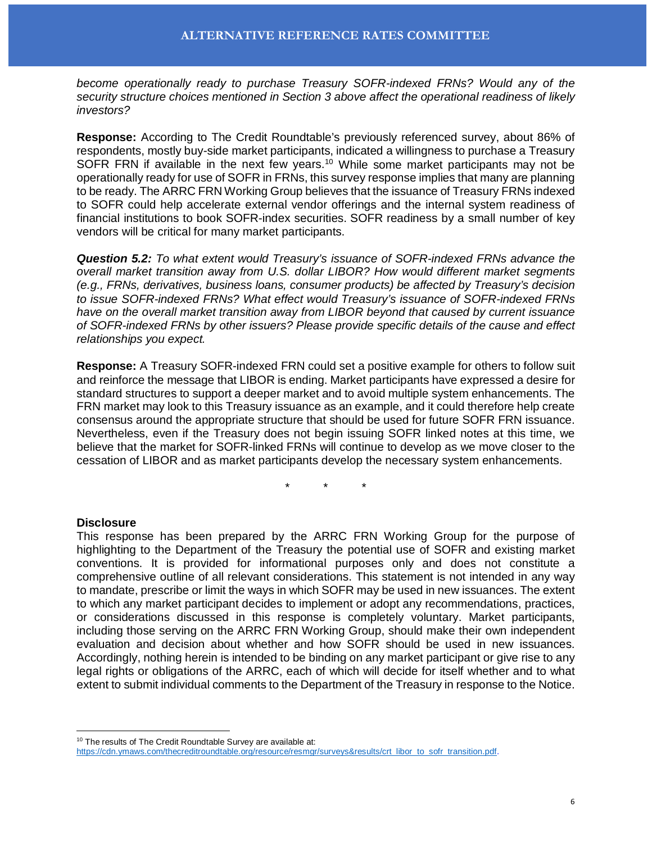*become operationally ready to purchase Treasury SOFR-indexed FRNs? Would any of the security structure choices mentioned in Section 3 above affect the operational readiness of likely investors?*

**Response:** According to The Credit Roundtable's previously referenced survey, about 86% of respondents, mostly buy-side market participants, indicated a willingness to purchase a Treasury SOFR FRN if available in the next few years.<sup>[10](#page-5-0)</sup> While some market participants may not be operationally ready for use of SOFR in FRNs, this survey response implies that many are planning to be ready. The ARRC FRN Working Group believes that the issuance of Treasury FRNs indexed to SOFR could help accelerate external vendor offerings and the internal system readiness of financial institutions to book SOFR-index securities. SOFR readiness by a small number of key vendors will be critical for many market participants.

*Question 5.2: To what extent would Treasury's issuance of SOFR-indexed FRNs advance the overall market transition away from U.S. dollar LIBOR? How would different market segments (e.g., FRNs, derivatives, business loans, consumer products) be affected by Treasury's decision to issue SOFR-indexed FRNs? What effect would Treasury's issuance of SOFR-indexed FRNs have on the overall market transition away from LIBOR beyond that caused by current issuance of SOFR-indexed FRNs by other issuers? Please provide specific details of the cause and effect relationships you expect.*

**Response:** A Treasury SOFR-indexed FRN could set a positive example for others to follow suit and reinforce the message that LIBOR is ending. Market participants have expressed a desire for standard structures to support a deeper market and to avoid multiple system enhancements. The FRN market may look to this Treasury issuance as an example, and it could therefore help create consensus around the appropriate structure that should be used for future SOFR FRN issuance. Nevertheless, even if the Treasury does not begin issuing SOFR linked notes at this time, we believe that the market for SOFR-linked FRNs will continue to develop as we move closer to the cessation of LIBOR and as market participants develop the necessary system enhancements.

\* \* \*

## **Disclosure**

 $\overline{a}$ 

This response has been prepared by the ARRC FRN Working Group for the purpose of highlighting to the Department of the Treasury the potential use of SOFR and existing market conventions. It is provided for informational purposes only and does not constitute a comprehensive outline of all relevant considerations. This statement is not intended in any way to mandate, prescribe or limit the ways in which SOFR may be used in new issuances. The extent to which any market participant decides to implement or adopt any recommendations, practices, or considerations discussed in this response is completely voluntary. Market participants, including those serving on the ARRC FRN Working Group, should make their own independent evaluation and decision about whether and how SOFR should be used in new issuances. Accordingly, nothing herein is intended to be binding on any market participant or give rise to any legal rights or obligations of the ARRC, each of which will decide for itself whether and to what extent to submit individual comments to the Department of the Treasury in response to the Notice.

<sup>&</sup>lt;sup>10</sup> The results of The Credit Roundtable Survey are available at:

<span id="page-5-0"></span>[https://cdn.ymaws.com/thecreditroundtable.org/resource/resmgr/surveys&results/crt\\_libor\\_to\\_sofr\\_transition.pdf.](https://cdn.ymaws.com/thecreditroundtable.org/resource/resmgr/surveys&results/crt_libor_to_sofr_transition.pdf)